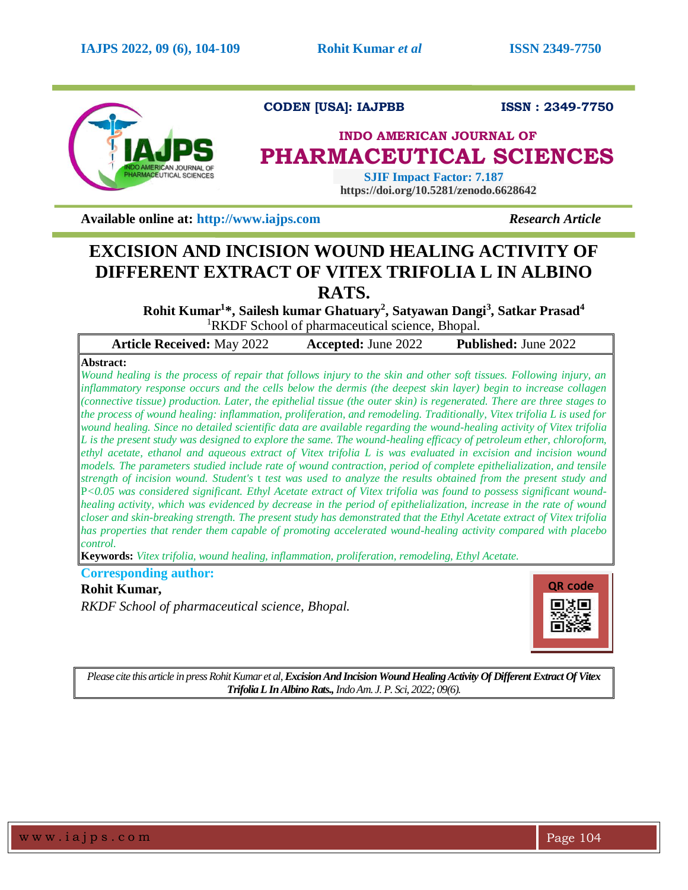

**CODEN [USA]: IAJPBB ISSN : 2349-7750** 

# **INDO AMERICAN JOURNAL OF PHARMACEUTICAL SCIENCES**

 **SJIF Impact Factor: 7.187 https://doi.org/10.5281/zenodo.6628642**

**Available online at: [http://www.iajps.com](http://www.iajps.com/)** *Research Article*

# **EXCISION AND INCISION WOUND HEALING ACTIVITY OF DIFFERENT EXTRACT OF VITEX TRIFOLIA L IN ALBINO RATS.**

**Rohit Kumar<sup>1</sup> \*, Sailesh kumar Ghatuary<sup>2</sup> , Satyawan Dangi<sup>3</sup> , Satkar Prasad<sup>4</sup>** <sup>1</sup>RKDF School of pharmaceutical science, Bhopal.

| <b>Article Received: May 2022</b>                                                                                                | <b>Accepted: June 2022</b> | Published: June 2022 |
|----------------------------------------------------------------------------------------------------------------------------------|----------------------------|----------------------|
| Abstract:                                                                                                                        |                            |                      |
| Wound healing is the process of repair that follows injury to the skin and other soft tissues. Following injury, an              |                            |                      |
| inflammatory response occurs and the cells below the dermis (the deepest skin layer) begin to increase collagen                  |                            |                      |
| (connective tissue) production. Later, the epithelial tissue (the outer skin) is regenerated. There are three stages to          |                            |                      |
| the process of wound healing: inflammation, proliferation, and remodeling. Traditionally, Vitex trifolia L is used for           |                            |                      |
| wound healing. Since no detailed scientific data are available regarding the wound-healing activity of Vitex trifolia            |                            |                      |
| L is the present study was designed to explore the same. The wound-healing efficacy of petroleum ether, chloroform,              |                            |                      |
| ethyl acetate, ethanol and aqueous extract of Vitex trifolia L is was evaluated in excision and incision wound                   |                            |                      |
| models. The parameters studied include rate of wound contraction, period of complete epithelialization, and tensile              |                            |                      |
| strength of incision wound. Student's t test was used to analyze the results obtained from the present study and                 |                            |                      |
| $P<0.05$ was considered significant. Ethyl Acetate extract of Vitex trifolia was found to possess significant wound-             |                            |                      |
| healing activity, which was evidenced by decrease in the period of epithelialization, increase in the rate of wound              |                            |                      |
| closer and skin-breaking strength. The present study has demonstrated that the Ethyl Acetate extract of Vitex trifolia           |                            |                      |
| has properties that render them capable of promoting accelerated wound-healing activity compared with placebo<br><i>control.</i> |                            |                      |
| $\mathbf{K}$ expands Vitor trifolia wound healing inflammation proliferation remodeling $F$ thyl Acetate                         |                            |                      |

**Keywords:** *Vitex trifolia, wound healing, inflammation, proliferation, remodeling, Ethyl Acetate.*

**Corresponding author: Rohit Kumar,** *RKDF School of pharmaceutical science, Bhopal.*



*Please cite this article in press Rohit Kumar et al,Excision And Incision Wound Healing Activity Of Different Extract Of Vitex Trifolia L In Albino Rats.,Indo Am. J. P. Sci, 2022; 09(6).*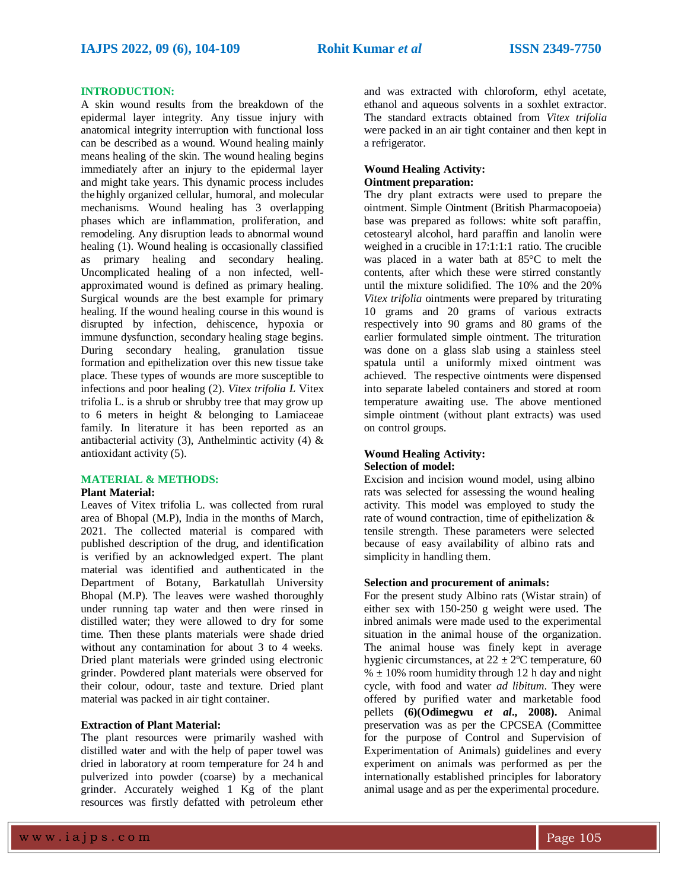## **INTRODUCTION:**

A skin wound results from the breakdown of the epidermal layer integrity. Any tissue injury with anatomical integrity interruption with functional loss can be described as a wound. Wound healing mainly means healing of the skin. The wound healing begins immediately after an injury to the epidermal layer and might take years. This dynamic process includes the highly organized cellular, humoral, and molecular mechanisms. Wound healing has 3 overlapping phases which are inflammation, proliferation, and remodeling. Any disruption leads to abnormal wound healing (1). Wound healing is occasionally classified as primary healing and secondary healing. Uncomplicated healing of a non infected, wellapproximated wound is defined as primary healing. Surgical wounds are the best example for primary healing. If the wound healing course in this wound is disrupted by infection, dehiscence, hypoxia or immune dysfunction, secondary healing stage begins. During secondary healing, granulation tissue formation and epithelization over this new tissue take place. These types of wounds are more susceptible to infections and poor healing (2). *Vitex trifolia L* Vitex trifolia L. is a shrub or shrubby tree that may grow up to 6 meters in height & belonging to [Lamiaceae](https://en.wikipedia.org/wiki/Lamiaceae) family. In literature it has been reported as an antibacterial activity (3), Anthelmintic activity (4)  $\&$ antioxidant activity (5).

## **MATERIAL & METHODS:**

#### **Plant Material:**

Leaves of Vitex trifolia L. was collected from rural area of Bhopal (M.P), India in the months of March, 2021. The collected material is compared with published description of the drug, and identification is verified by an acknowledged expert. The plant material was identified and authenticated in the Department of Botany, Barkatullah University Bhopal (M.P). The leaves were washed thoroughly under running tap water and then were rinsed in distilled water; they were allowed to dry for some time. Then these plants materials were shade dried without any contamination for about 3 to 4 weeks. Dried plant materials were grinded using electronic grinder. Powdered plant materials were observed for their colour, odour, taste and texture. Dried plant material was packed in air tight container.

## **Extraction of Plant Material:**

The plant resources were primarily washed with distilled water and with the help of paper towel was dried in laboratory at room temperature for 24 h and pulverized into powder (coarse) by a mechanical grinder. Accurately weighed 1 Kg of the plant resources was firstly defatted with petroleum ether

and was extracted with chloroform, ethyl acetate, ethanol and aqueous solvents in a soxhlet extractor. The standard extracts obtained from *Vitex trifolia* were packed in an air tight container and then kept in a refrigerator.

# **Wound Healing Activity: Ointment preparation:**

The dry plant extracts were used to prepare the ointment. Simple Ointment (British Pharmacopoeia) base was prepared as follows: white soft paraffin, cetostearyl alcohol, hard paraffin and lanolin were weighed in a crucible in 17:1:1:1 ratio. The crucible was placed in a water bath at 85°C to melt the contents, after which these were stirred constantly until the mixture solidified. The 10% and the 20% *Vitex trifolia* ointments were prepared by triturating 10 grams and 20 grams of various extracts respectively into 90 grams and 80 grams of the earlier formulated simple ointment. The trituration was done on a glass slab using a stainless steel spatula until a uniformly mixed ointment was achieved. The respective ointments were dispensed into separate labeled containers and stored at room temperature awaiting use. The above mentioned simple ointment (without plant extracts) was used on control groups.

## **Wound Healing Activity: Selection of model:**

Excision and incision wound model, using albino rats was selected for assessing the wound healing activity. This model was employed to study the rate of wound contraction, time of epithelization & tensile strength. These parameters were selected because of easy availability of albino rats and simplicity in handling them.

# **Selection and procurement of animals:**

For the present study Albino rats (Wistar strain) of either sex with 150-250 g weight were used. The inbred animals were made used to the experimental situation in the animal house of the organization. The animal house was finely kept in average hygienic circumstances, at  $22 \pm 2$ <sup>o</sup>C temperature, 60  $% \pm 10\%$  room humidity through 12 h day and night cycle, with food and water *ad libitum*. They were offered by purified water and marketable food pellets **(6)(Odimegwu** *et al***., 2008).** Animal preservation was as per the CPCSEA (Committee for the purpose of Control and Supervision of Experimentation of Animals) guidelines and every experiment on animals was performed as per the internationally established principles for laboratory animal usage and as per the experimental procedure.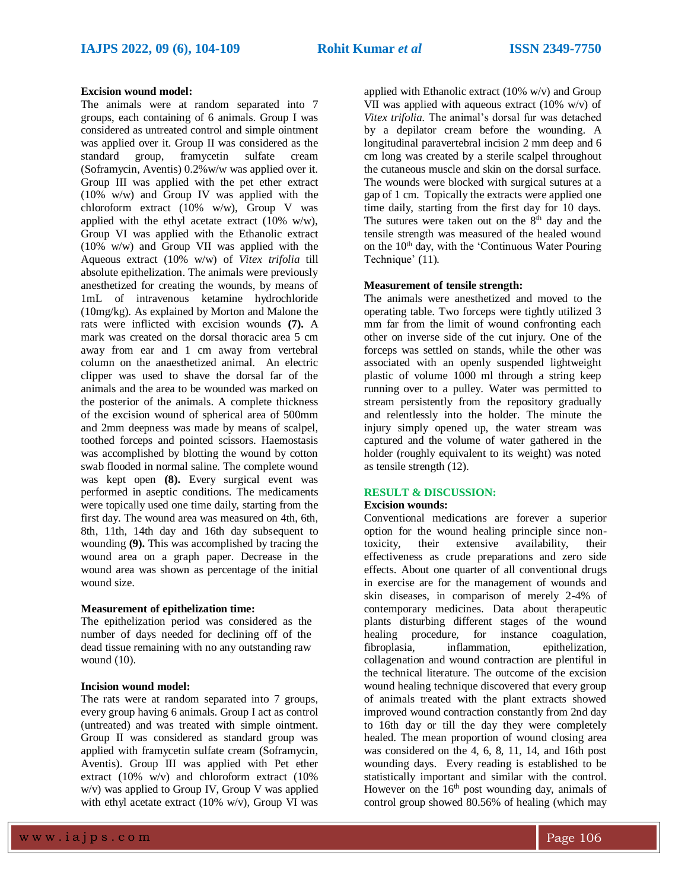#### **Excision wound model:**

The animals were at random separated into 7 groups, each containing of 6 animals. Group I was considered as untreated control and simple ointment was applied over it. Group II was considered as the standard group, framycetin sulfate cream (Soframycin, Aventis) 0.2%w/w was applied over it. Group III was applied with the pet ether extract (10% w/w) and Group IV was applied with the chloroform extract (10% w/w), Group V was applied with the ethyl acetate extract (10% w/w), Group VI was applied with the Ethanolic extract (10% w/w) and Group VII was applied with the Aqueous extract (10% w/w) of *Vitex trifolia* till absolute epithelization. The animals were previously anesthetized for creating the wounds, by means of 1mL of intravenous ketamine hydrochloride (10mg/kg). As explained by Morton and Malone the rats were inflicted with excision wounds **(7).** A mark was created on the dorsal thoracic area 5 cm away from ear and 1 cm away from vertebral column on the anaesthetized animal. An electric clipper was used to shave the dorsal far of the animals and the area to be wounded was marked on the posterior of the animals. A complete thickness of the excision wound of spherical area of 500mm and 2mm deepness was made by means of scalpel, toothed forceps and pointed scissors. Haemostasis was accomplished by blotting the wound by cotton swab flooded in normal saline. The complete wound was kept open **(8).** Every surgical event was performed in aseptic conditions. The medicaments were topically used one time daily, starting from the first day. The wound area was measured on 4th, 6th, 8th, 11th, 14th day and 16th day subsequent to wounding **(9).** This was accomplished by tracing the wound area on a graph paper. Decrease in the wound area was shown as percentage of the initial wound size.

## **Measurement of epithelization time:**

The epithelization period was considered as the number of days needed for declining off of the dead tissue remaining with no any outstanding raw wound (10).

# **Incision wound model:**

The rats were at random separated into 7 groups, every group having 6 animals. Group I act as control (untreated) and was treated with simple ointment. Group II was considered as standard group was applied with framycetin sulfate cream (Soframycin, Aventis). Group III was applied with Pet ether extract (10% w/v) and chloroform extract (10% w/v) was applied to Group IV, Group V was applied with ethyl acetate extract  $(10\% \text{ w/v})$ , Group VI was

applied with Ethanolic extract (10% w/v) and Group VII was applied with aqueous extract (10% w/v) of *Vitex trifolia.* The animal's dorsal fur was detached by a depilator cream before the wounding. A longitudinal paravertebral incision 2 mm deep and 6 cm long was created by a sterile scalpel throughout the cutaneous muscle and skin on the dorsal surface. The wounds were blocked with surgical sutures at a gap of 1 cm. Topically the extracts were applied one time daily, starting from the first day for 10 days. The sutures were taken out on the  $8<sup>th</sup>$  day and the tensile strength was measured of the healed wound on the 10<sup>th</sup> day, with the 'Continuous Water Pouring Technique' (11)*.*

# **Measurement of tensile strength:**

The animals were anesthetized and moved to the operating table. Two forceps were tightly utilized 3 mm far from the limit of wound confronting each other on inverse side of the cut injury. One of the forceps was settled on stands, while the other was associated with an openly suspended lightweight plastic of volume 1000 ml through a string keep running over to a pulley. Water was permitted to stream persistently from the repository gradually and relentlessly into the holder. The minute the injury simply opened up, the water stream was captured and the volume of water gathered in the holder (roughly equivalent to its weight) was noted as tensile strength (12).

# **RESULT & DISCUSSION:**

#### **Excision wounds:**

Conventional medications are forever a superior option for the wound healing principle since nontoxicity, their extensive availability, their effectiveness as crude preparations and zero side effects. About one quarter of all conventional drugs in exercise are for the management of wounds and skin diseases, in comparison of merely 2-4% of contemporary medicines. Data about therapeutic plants disturbing different stages of the wound healing procedure, for instance coagulation, fibroplasia, inflammation, epithelization, collagenation and wound contraction are plentiful in the technical literature. The outcome of the excision wound healing technique discovered that every group of animals treated with the plant extracts showed improved wound contraction constantly from 2nd day to 16th day or till the day they were completely healed. The mean proportion of wound closing area was considered on the 4, 6, 8, 11, 14, and 16th post wounding days. Every reading is established to be statistically important and similar with the control. However on the 16<sup>th</sup> post wounding day, animals of control group showed 80.56% of healing (which may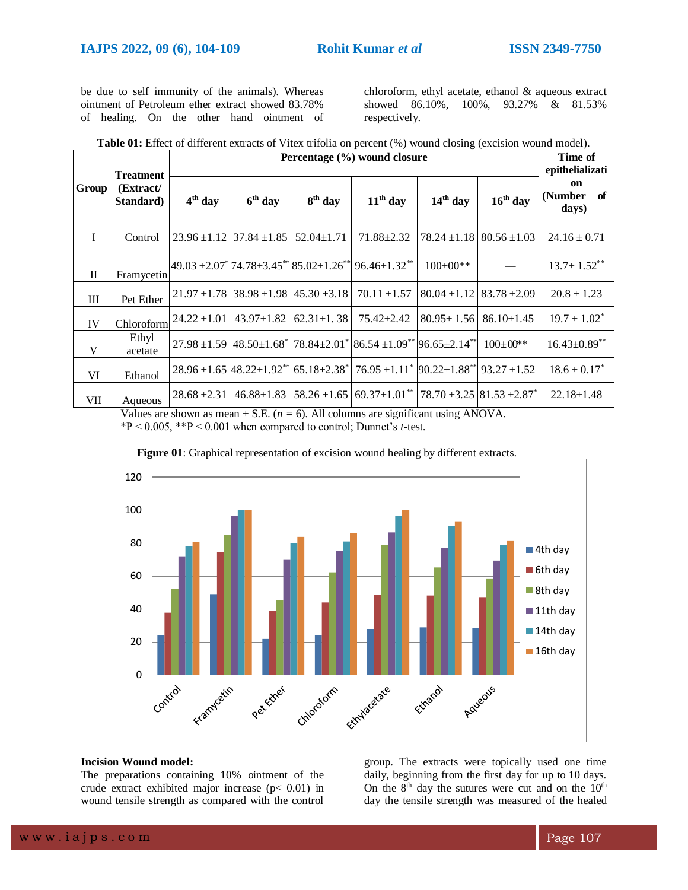be due to self immunity of the animals). Whereas ointment of Petroleum ether extract showed 83.78% of healing. On the other hand ointment of

chloroform, ethyl acetate, ethanol & aqueous extract showed 86.10%, 100%, 93.27% & 81.53% respectively.

| <b>Table 01:</b> Effect of different extracts of Vitex trifolia on percent (%) wound closing (excision wound model). |  |  |  |  |  |  |  |  |
|----------------------------------------------------------------------------------------------------------------------|--|--|--|--|--|--|--|--|
|----------------------------------------------------------------------------------------------------------------------|--|--|--|--|--|--|--|--|

|              | <b>Treatment</b>       | Percentage (%) wound closure |                                                    |                     |                                                                                                                        |                                     |                                      | Time of<br>epithelializati     |
|--------------|------------------------|------------------------------|----------------------------------------------------|---------------------|------------------------------------------------------------------------------------------------------------------------|-------------------------------------|--------------------------------------|--------------------------------|
| Group        | (Extract/<br>Standard) | $4th$ day                    | $6th$ day                                          | 8 <sup>th</sup> day | $11th$ day                                                                                                             | $14th$ day                          | $16th$ day                           | on<br>(Number<br>- of<br>days) |
| $\mathbf{I}$ | Control                |                              | $23.96 \pm 1.12$ 37.84 $\pm 1.85$                  | $52.04 \pm 1.71$    | $71.88 \pm 2.32$                                                                                                       | $78.24 \pm 1.18 \pm 80.56 \pm 1.03$ |                                      | $24.16 \pm 0.71$               |
| $\mathbf{I}$ | Framycetin             |                              |                                                    |                     | $49.03 \pm 2.07$ <sup>*</sup> 74.78 ± 3.45 <sup>**</sup> 85.02 ± 1.26 <sup>**</sup> 96.46 ± 1.32 <sup>**</sup>         | $100 \pm 00**$                      |                                      | $13.7 \pm 1.52$ **             |
| Ш            | Pet Ether              |                              | $21.97 \pm 1.78$ 38.98 $\pm 1.98$ 45.30 $\pm 3.18$ |                     | $70.11 \pm 1.57$                                                                                                       |                                     | $80.04 \pm 1.12$ $83.78 \pm 2.09$    | $20.8 \pm 1.23$                |
| IV           | Chloroform             | $24.22 \pm 1.01$             | $43.97 \pm 1.82$                                   | $62.31 \pm 1.38$    | $75.42 \pm 2.42$                                                                                                       | $80.95 \pm 1.56$                    | $86.10 \pm 1.45$                     | $19.7 \pm 1.02^*$              |
| V            | Ethyl<br>acetate       |                              |                                                    |                     | $27.98 \pm 1.59 \pm 48.50 \pm 1.68$ 78.84 $\pm 2.01$ 86.54 $\pm 1.09$ /* 96.65 $\pm 2.14$ /*                           |                                     | $100 \pm 00$ **                      | $16.43 \pm 0.89$ **            |
| VI           | Ethanol                |                              |                                                    |                     | $28.96 \pm 1.65$ $ 48.22 \pm 1.92^{*}$ 65.18 $\pm 2.38^{*}$ 76.95 $\pm 1.11^{*}$ 90.22 $\pm 1.88^{*}$ 93.27 $\pm 1.52$ |                                     |                                      | $18.6 \pm 0.17^*$              |
| VII          | Aqueous                | $28.68 \pm 2.31$             |                                                    |                     | $46.88\pm1.83$ 58.26 $\pm1.65$ 69.37 $\pm1.01$ <sup>**</sup>                                                           |                                     | $78.70 \pm 3.25 \, 81.53 \pm 2.87^*$ | $22.18 \pm 1.48$               |

Values are shown as mean  $\pm$  S.E. ( $n = 6$ ). All columns are significant using ANOVA.

\*P < 0.005, \*\*P < 0.001 when compared to control; Dunnet's *t*-test.



**Figure 01**: Graphical representation of excision wound healing by different extracts.

# **Incision Wound model:**

The preparations containing 10% ointment of the crude extract exhibited major increase ( $p$ < 0.01) in wound tensile strength as compared with the control

group. The extracts were topically used one time daily, beginning from the first day for up to 10 days. On the  $8<sup>th</sup>$  day the sutures were cut and on the  $10<sup>th</sup>$ day the tensile strength was measured of the healed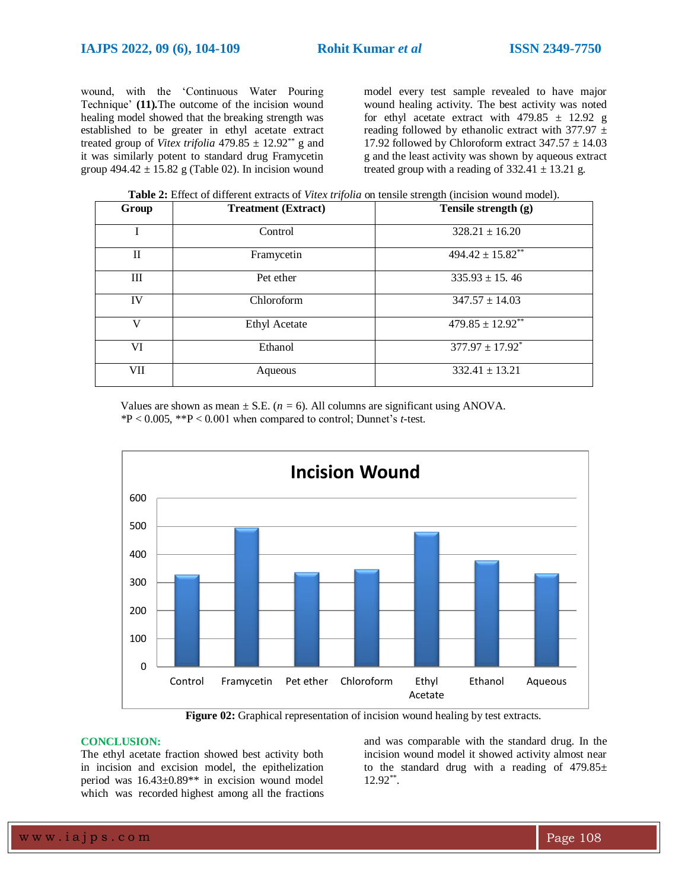wound, with the 'Continuous Water Pouring Technique' **(11)***.*The outcome of the incision wound healing model showed that the breaking strength was established to be greater in ethyl acetate extract treated group of *Vitex trifolia* 479.85  $\pm$  12.92<sup>\*\*</sup> g and it was similarly potent to standard drug Framycetin group 494.42 *±* 15.82 g (Table 02). In incision wound model every test sample revealed to have major wound healing activity. The best activity was noted for ethyl acetate extract with 479.85 *±* 12.92 g reading followed by ethanolic extract with 377.97 *±*  17.92 followed by Chloroform extract 347.57 *±* 14.03 g and the least activity was shown by aqueous extract treated group with a reading of  $332.41 \pm 13.21$  g.

**Table 2:** Effect of different extracts of *Vitex trifolia* on tensile strength (incision wound model).

| Group | <b>Treatment (Extract)</b> | Tensile strength (g)    |  |  |
|-------|----------------------------|-------------------------|--|--|
| I     | Control                    | $328.21 \pm 16.20$      |  |  |
| П     | Framycetin                 | $494.42 \pm 15.82$      |  |  |
| Ш     | Pet ether                  | $335.93 \pm 15.46$      |  |  |
| IV    | Chloroform                 | $347.57 \pm 14.03$      |  |  |
| V     | Ethyl Acetate              | $479.85 \pm 12.92^{**}$ |  |  |
| VI    | Ethanol                    | $377.97 \pm 17.92^*$    |  |  |
| VII   | Aqueous                    | $332.41 \pm 13.21$      |  |  |

Values are shown as mean  $\pm$  S.E. ( $n = 6$ ). All columns are significant using ANOVA. *\**P < 0.005, \*\*P < 0*.*001 when compared to control; Dunnet's *t*-test.



**Figure 02:** Graphical representation of incision wound healing by test extracts.

## **CONCLUSION:**

The ethyl acetate fraction showed best activity both in incision and excision model, the epithelization period was 16.43±0.89\*\* in excision wound model which was recorded highest among all the fractions and was comparable with the standard drug. In the incision wound model it showed activity almost near to the standard drug with a reading of 479.85*±*  12.92\*\* .